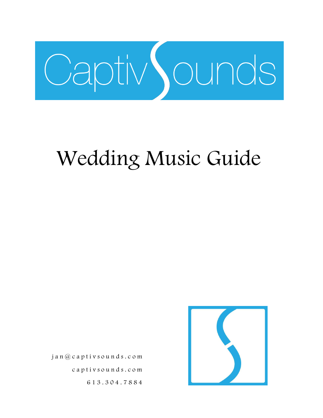

# Wedding Music Guide

 jan@captivsounds.c o m captivsounds.com 613.304.7884

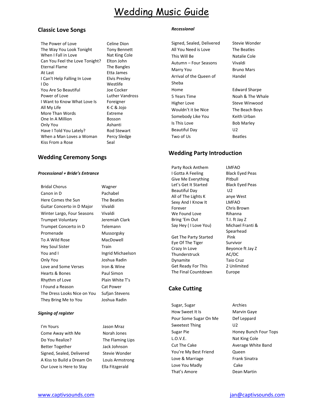# Wedding Music Guide

#### **Classic Love Songs**

The Power of Love Celine Dion The Way You Look Tonight Tony Bennett When I Fall in Love Nat King Cole Can You Feel the Love Tonight? Elton John Eternal Flame The Bangles At Last **Etta James** I Can't Help Falling In Love Elvis Presley I Do Westlife You Are So Beautiful Joe Cocker Power of Love Luther Vandross I Want to Know What Love Is Foreigner All My Life K-C & Jojo More Than Words **Extreme** One In A Million Bosson Only You **Ashanti** Have I Told You Lately? Rod Stewart When a Man Loves a Woman Percy Sledge Kiss From a Rose Seal

#### **Wedding Ceremony Songs**

#### *Processional + Bride's Entrance*

| <b>Bridal Chorus</b>        |  |
|-----------------------------|--|
| Canon in D                  |  |
| Here Comes the Sun          |  |
| Guitar Concerto in D Major  |  |
| Winter Largo, Four Seasons  |  |
| <b>Trumpet Voluntary</b>    |  |
| Trumpet Concerto in D       |  |
| Promenade                   |  |
| To A Wild Rose              |  |
| <b>Hey Soul Sister</b>      |  |
| You and I                   |  |
| Only You                    |  |
| Love and Some Verses        |  |
| Hearts & Bones              |  |
| Rhythm of Love              |  |
| I Found a Reason            |  |
| The Dress Looks Nice on You |  |
| They Bring Me to You        |  |

Wagner Pachabel The Beatles Vivaldi Vivaldi Jeremiah Clark **Telemann** Mussorgsky **MacDowell** Train Ingrid Michaelson Joshua Radin Iron & Wine Paul Simon Plain White T's Cat Power Sufjan Stevens Joshua Radin

#### *Signing of register*

I'm Yours Jason Mraz Come Away with Me Norah Jones Do You Realize? The Flaming Lips Better Together **Jack Johnson** Signed, Sealed, Delivered Stevie Wonder A Kiss to Build a Dream On Louis Armstrong Our Love is Here to Stay Ella Fitzgerald

#### *Recessional*

Signed, Sealed, Delivered Stevie Wonder All You Need is Love The Beatles This Will Be Natalie Cole Autumn – Four Seasons Vivaldi Marry You **Bruno Mars** Arrival of the Queen of Sheba Home Edward Sharpe 5 Years Time Noah & The Whale Higher Love **Steve Winwood** Wouldn't it be Nice The Beach Boys Somebody Like You Keith Urban Is This Love Bob Marley Beautiful Day **U2** Two of Us Beatles

Handel

#### **Wedding Party Introduction**

Party Rock Anthem LMFAO I Gotta A Feeling Black Eyed Peas Give Me Everything Pitbull Let's Get It Started Black Eyed Peas Beautiful Day **U2** All of The Lights K anye West Sexy And I Know It LMFAO Forever Chris Brown We Found Love **Rihanna** Bring 'Em Out T.I. ft Jay Z Say Hey (I Love You) Michael Franti & Get The Party Started Pink Eye Of The Tiger Survivor Crazy In Love Beyonce ft Jay Z Thunderstruck AC/DC Dynamite Taio Cruz Get Ready For This 2 Unlimited The Final Countdown Europe

Spearhead

## **Cake Cutting**

Sugar, Sugar **Archies** How Sweet It Is Marvin Gaye Pour Some Sugar On Me Def Leppard Sweetest Thing U2 Sugar Pie Honey Bunch Four Tops L.O.V.E. Nat King Cole Cut The Cake Average White Band You're My Best Friend Queen Love & Marriage Frank Sinatra Love You Madly Cake That's Amore Dean Martin